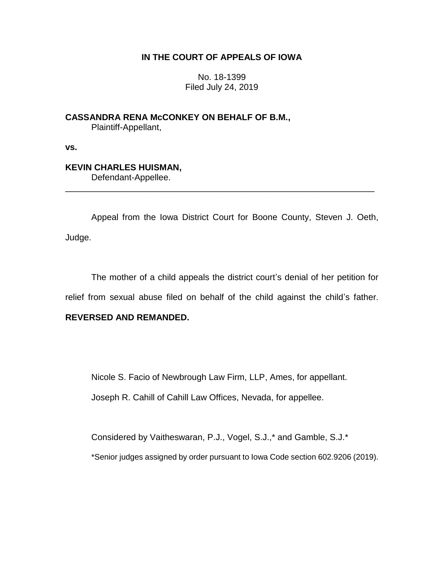# **IN THE COURT OF APPEALS OF IOWA**

No. 18-1399 Filed July 24, 2019

**CASSANDRA RENA McCONKEY ON BEHALF OF B.M.,** Plaintiff-Appellant,

**vs.**

# **KEVIN CHARLES HUISMAN,**

Defendant-Appellee.

Appeal from the Iowa District Court for Boone County, Steven J. Oeth, Judge.

\_\_\_\_\_\_\_\_\_\_\_\_\_\_\_\_\_\_\_\_\_\_\_\_\_\_\_\_\_\_\_\_\_\_\_\_\_\_\_\_\_\_\_\_\_\_\_\_\_\_\_\_\_\_\_\_\_\_\_\_\_\_\_\_

The mother of a child appeals the district court's denial of her petition for relief from sexual abuse filed on behalf of the child against the child's father.

# **REVERSED AND REMANDED.**

Nicole S. Facio of Newbrough Law Firm, LLP, Ames, for appellant.

Joseph R. Cahill of Cahill Law Offices, Nevada, for appellee.

Considered by Vaitheswaran, P.J., Vogel, S.J.,\* and Gamble, S.J.\*

\*Senior judges assigned by order pursuant to Iowa Code section 602.9206 (2019).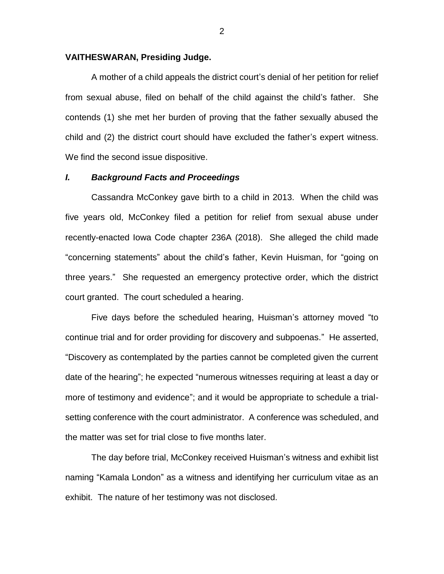#### **VAITHESWARAN, Presiding Judge.**

A mother of a child appeals the district court's denial of her petition for relief from sexual abuse, filed on behalf of the child against the child's father. She contends (1) she met her burden of proving that the father sexually abused the child and (2) the district court should have excluded the father's expert witness. We find the second issue dispositive.

#### *I. Background Facts and Proceedings*

Cassandra McConkey gave birth to a child in 2013. When the child was five years old, McConkey filed a petition for relief from sexual abuse under recently-enacted Iowa Code chapter 236A (2018). She alleged the child made "concerning statements" about the child's father, Kevin Huisman, for "going on three years." She requested an emergency protective order, which the district court granted. The court scheduled a hearing.

Five days before the scheduled hearing, Huisman's attorney moved "to continue trial and for order providing for discovery and subpoenas." He asserted, "Discovery as contemplated by the parties cannot be completed given the current date of the hearing"; he expected "numerous witnesses requiring at least a day or more of testimony and evidence"; and it would be appropriate to schedule a trialsetting conference with the court administrator. A conference was scheduled, and the matter was set for trial close to five months later.

The day before trial, McConkey received Huisman's witness and exhibit list naming "Kamala London" as a witness and identifying her curriculum vitae as an exhibit. The nature of her testimony was not disclosed.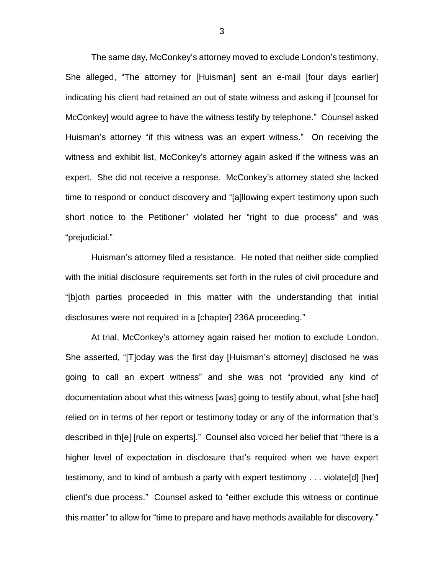The same day, McConkey's attorney moved to exclude London's testimony. She alleged, "The attorney for [Huisman] sent an e-mail [four days earlier] indicating his client had retained an out of state witness and asking if [counsel for McConkey] would agree to have the witness testify by telephone." Counsel asked Huisman's attorney "if this witness was an expert witness." On receiving the witness and exhibit list, McConkey's attorney again asked if the witness was an expert. She did not receive a response. McConkey's attorney stated she lacked time to respond or conduct discovery and "[a]llowing expert testimony upon such short notice to the Petitioner" violated her "right to due process" and was "prejudicial."

Huisman's attorney filed a resistance. He noted that neither side complied with the initial disclosure requirements set forth in the rules of civil procedure and "[b]oth parties proceeded in this matter with the understanding that initial disclosures were not required in a [chapter] 236A proceeding."

At trial, McConkey's attorney again raised her motion to exclude London. She asserted, "[T]oday was the first day [Huisman's attorney] disclosed he was going to call an expert witness" and she was not "provided any kind of documentation about what this witness [was] going to testify about, what [she had] relied on in terms of her report or testimony today or any of the information that's described in th[e] [rule on experts]." Counsel also voiced her belief that "there is a higher level of expectation in disclosure that's required when we have expert testimony, and to kind of ambush a party with expert testimony . . . violate[d] [her] client's due process." Counsel asked to "either exclude this witness or continue this matter" to allow for "time to prepare and have methods available for discovery."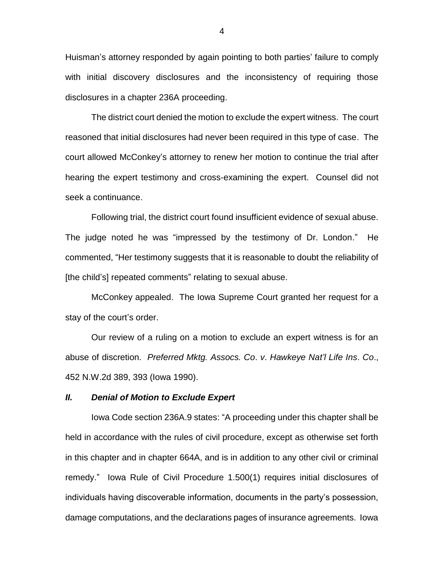Huisman's attorney responded by again pointing to both parties' failure to comply with initial discovery disclosures and the inconsistency of requiring those disclosures in a chapter 236A proceeding.

The district court denied the motion to exclude the expert witness. The court reasoned that initial disclosures had never been required in this type of case. The court allowed McConkey's attorney to renew her motion to continue the trial after hearing the expert testimony and cross-examining the expert. Counsel did not seek a continuance.

Following trial, the district court found insufficient evidence of sexual abuse. The judge noted he was "impressed by the testimony of Dr. London." He commented, "Her testimony suggests that it is reasonable to doubt the reliability of [the child's] repeated comments" relating to sexual abuse.

McConkey appealed. The Iowa Supreme Court granted her request for a stay of the court's order.

Our review of a ruling on a motion to exclude an expert witness is for an abuse of discretion. *Preferred Mktg. Assocs. Co*. *v*. *Hawkeye Nat'l Life Ins*. *Co*., 452 N.W.2d 389, 393 (Iowa 1990).

### *II. Denial of Motion to Exclude Expert*

Iowa Code section 236A.9 states: "A proceeding under this chapter shall be held in accordance with the rules of civil procedure, except as otherwise set forth in this chapter and in chapter 664A, and is in addition to any other civil or criminal remedy." Iowa Rule of Civil Procedure 1.500(1) requires initial disclosures of individuals having discoverable information, documents in the party's possession, damage computations, and the declarations pages of insurance agreements. Iowa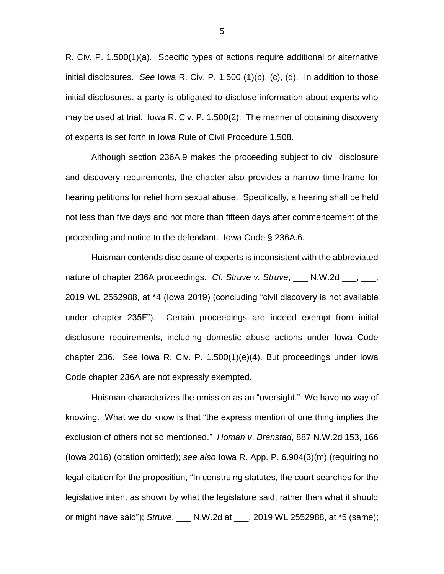R. Civ. P. 1.500(1)(a). Specific types of actions require additional or alternative initial disclosures. *See* Iowa R. Civ. P. 1.500 (1)(b), (c), (d). In addition to those initial disclosures, a party is obligated to disclose information about experts who may be used at trial. Iowa R. Civ. P. 1.500(2). The manner of obtaining discovery of experts is set forth in Iowa Rule of Civil Procedure 1.508.

Although section 236A.9 makes the proceeding subject to civil disclosure and discovery requirements, the chapter also provides a narrow time-frame for hearing petitions for relief from sexual abuse. Specifically, a hearing shall be held not less than five days and not more than fifteen days after commencement of the proceeding and notice to the defendant. Iowa Code § 236A.6.

Huisman contends disclosure of experts is inconsistent with the abbreviated nature of chapter 236A proceedings. *Cf. Struve v. Struve*, N.W.2d <sub>...</sub>, \_., 2019 WL 2552988, at \*4 (Iowa 2019) (concluding "civil discovery is not available under chapter 235F"). Certain proceedings are indeed exempt from initial disclosure requirements, including domestic abuse actions under Iowa Code chapter 236. *See* Iowa R. Civ. P. 1.500(1)(e)(4). But proceedings under Iowa Code chapter 236A are not expressly exempted.

Huisman characterizes the omission as an "oversight." We have no way of knowing. What we do know is that "the express mention of one thing implies the exclusion of others not so mentioned." *Homan v*. *Branstad*, 887 N.W.2d 153, 166 (Iowa 2016) (citation omitted); *see also* Iowa R. App. P. 6.904(3)(m) (requiring no legal citation for the proposition, "In construing statutes, the court searches for the legislative intent as shown by what the legislature said, rather than what it should or might have said"); *Struve*, \_\_\_ N.W.2d at \_\_\_, 2019 WL 2552988, at \*5 (same);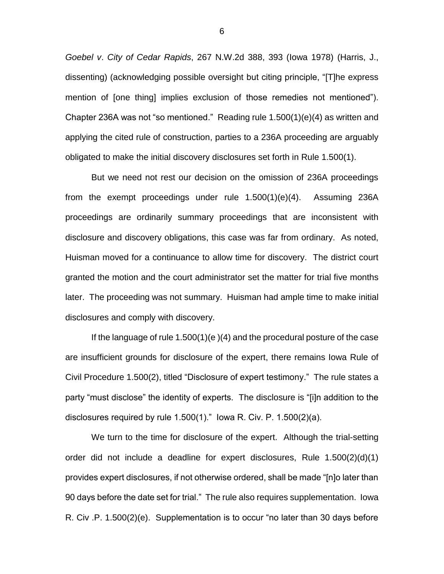*Goebel v*. *City of Cedar Rapids*, 267 N.W.2d 388, 393 (Iowa 1978) (Harris, J., dissenting) (acknowledging possible oversight but citing principle, "[T]he express mention of [one thing] implies exclusion of those remedies not mentioned"). Chapter 236A was not "so mentioned." Reading rule 1.500(1)(e)(4) as written and applying the cited rule of construction, parties to a 236A proceeding are arguably obligated to make the initial discovery disclosures set forth in Rule 1.500(1).

But we need not rest our decision on the omission of 236A proceedings from the exempt proceedings under rule 1.500(1)(e)(4). Assuming 236A proceedings are ordinarily summary proceedings that are inconsistent with disclosure and discovery obligations, this case was far from ordinary. As noted, Huisman moved for a continuance to allow time for discovery. The district court granted the motion and the court administrator set the matter for trial five months later. The proceeding was not summary. Huisman had ample time to make initial disclosures and comply with discovery.

If the language of rule 1.500(1)(e )(4) and the procedural posture of the case are insufficient grounds for disclosure of the expert, there remains Iowa Rule of Civil Procedure 1.500(2), titled "Disclosure of expert testimony." The rule states a party "must disclose" the identity of experts. The disclosure is "[i]n addition to the disclosures required by rule 1.500(1)." Iowa R. Civ. P. 1.500(2)(a).

We turn to the time for disclosure of the expert. Although the trial-setting order did not include a deadline for expert disclosures, Rule 1.500(2)(d)(1) provides expert disclosures, if not otherwise ordered, shall be made "[n]o later than 90 days before the date set for trial." The rule also requires supplementation. Iowa R. Civ .P. 1.500(2)(e). Supplementation is to occur "no later than 30 days before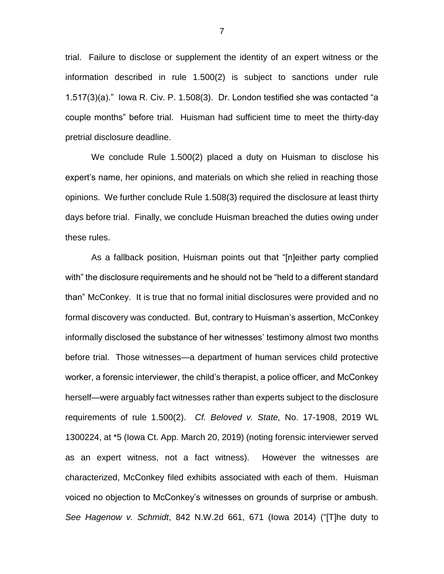trial. Failure to disclose or supplement the identity of an expert witness or the information described in rule 1.500(2) is subject to sanctions under rule 1.517(3)(a)." Iowa R. Civ. P. 1.508(3). Dr. London testified she was contacted "a couple months" before trial. Huisman had sufficient time to meet the thirty-day pretrial disclosure deadline.

We conclude Rule 1.500(2) placed a duty on Huisman to disclose his expert's name, her opinions, and materials on which she relied in reaching those opinions. We further conclude Rule 1.508(3) required the disclosure at least thirty days before trial. Finally, we conclude Huisman breached the duties owing under these rules.

As a fallback position, Huisman points out that "[n]either party complied with" the disclosure requirements and he should not be "held to a different standard than" McConkey. It is true that no formal initial disclosures were provided and no formal discovery was conducted. But, contrary to Huisman's assertion, McConkey informally disclosed the substance of her witnesses' testimony almost two months before trial. Those witnesses—a department of human services child protective worker, a forensic interviewer, the child's therapist, a police officer, and McConkey herself—were arguably fact witnesses rather than experts subject to the disclosure requirements of rule 1.500(2). *Cf. Beloved v. State,* No. 17-1908, 2019 WL 1300224, at \*5 (Iowa Ct. App. March 20, 2019) (noting forensic interviewer served as an expert witness, not a fact witness). However the witnesses are characterized, McConkey filed exhibits associated with each of them. Huisman voiced no objection to McConkey's witnesses on grounds of surprise or ambush. *See Hagenow v. Schmidt*, 842 N.W.2d 661, 671 (Iowa 2014) ("[T]he duty to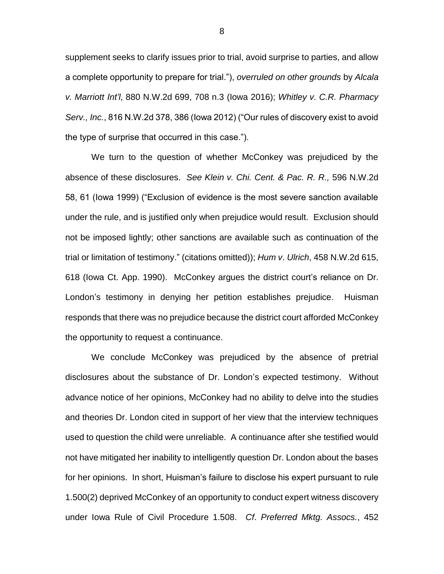supplement seeks to clarify issues prior to trial, avoid surprise to parties, and allow a complete opportunity to prepare for trial."), *overruled on other grounds* by *Alcala v. Marriott Int'l*, 880 N.W.2d 699, 708 n.3 (Iowa 2016); *Whitley v. C.R. Pharmacy Serv., Inc.*, 816 N.W.2d 378, 386 (Iowa 2012) ("Our rules of discovery exist to avoid the type of surprise that occurred in this case.").

We turn to the question of whether McConkey was prejudiced by the absence of these disclosures. *See Klein v. Chi. Cent. & Pac. R. R.,* 596 N.W.2d 58, 61 (Iowa 1999) ("Exclusion of evidence is the most severe sanction available under the rule, and is justified only when prejudice would result. Exclusion should not be imposed lightly; other sanctions are available such as continuation of the trial or limitation of testimony." (citations omitted)); *Hum v*. *Ulrich*, 458 N.W.2d 615, 618 (Iowa Ct. App. 1990). McConkey argues the district court's reliance on Dr. London's testimony in denying her petition establishes prejudice. Huisman responds that there was no prejudice because the district court afforded McConkey the opportunity to request a continuance.

We conclude McConkey was prejudiced by the absence of pretrial disclosures about the substance of Dr. London's expected testimony. Without advance notice of her opinions, McConkey had no ability to delve into the studies and theories Dr. London cited in support of her view that the interview techniques used to question the child were unreliable. A continuance after she testified would not have mitigated her inability to intelligently question Dr. London about the bases for her opinions. In short, Huisman's failure to disclose his expert pursuant to rule 1.500(2) deprived McConkey of an opportunity to conduct expert witness discovery under Iowa Rule of Civil Procedure 1.508. *Cf*. *Preferred Mktg. Assocs.*, 452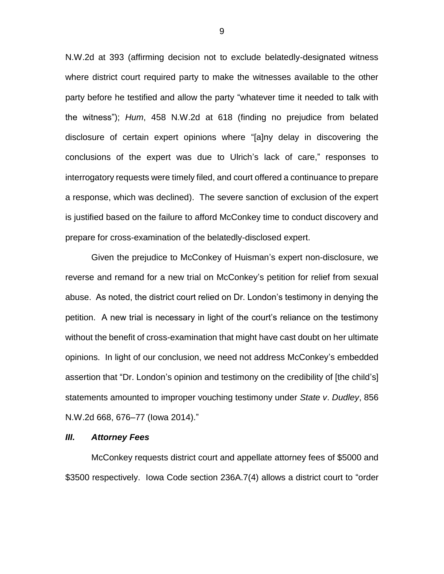N.W.2d at 393 (affirming decision not to exclude belatedly-designated witness where district court required party to make the witnesses available to the other party before he testified and allow the party "whatever time it needed to talk with the witness"); *Hum*, 458 N.W.2d at 618 (finding no prejudice from belated disclosure of certain expert opinions where "[a]ny delay in discovering the conclusions of the expert was due to Ulrich's lack of care," responses to interrogatory requests were timely filed, and court offered a continuance to prepare a response, which was declined). The severe sanction of exclusion of the expert is justified based on the failure to afford McConkey time to conduct discovery and prepare for cross-examination of the belatedly-disclosed expert.

Given the prejudice to McConkey of Huisman's expert non-disclosure, we reverse and remand for a new trial on McConkey's petition for relief from sexual abuse. As noted, the district court relied on Dr. London's testimony in denying the petition. A new trial is necessary in light of the court's reliance on the testimony without the benefit of cross-examination that might have cast doubt on her ultimate opinions. In light of our conclusion, we need not address McConkey's embedded assertion that "Dr. London's opinion and testimony on the credibility of [the child's] statements amounted to improper vouching testimony under *State v*. *Dudley*, 856 N.W.2d 668, 676–77 (Iowa 2014)."

#### *III. Attorney Fees*

McConkey requests district court and appellate attorney fees of \$5000 and \$3500 respectively. Iowa Code section 236A.7(4) allows a district court to "order